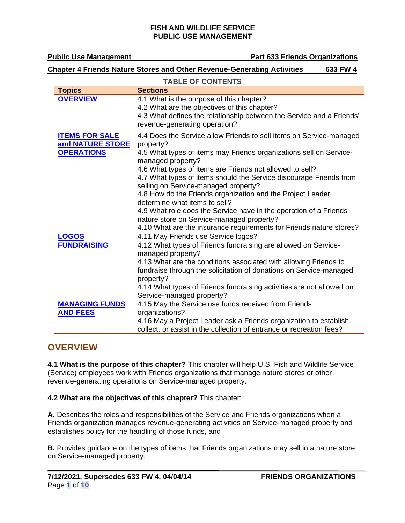**Public Use Management Public Use Management** Part 633 Friends Organizations

### **Chapter 4 Friends Nature Stores and Other Revenue-Generating Activities 633 FW 4**

| <b>TABLE OF CONTENTS</b>                                       |                                                                                                                                                                                                                                                                                                                                                                                                                                                                                                                                                                        |
|----------------------------------------------------------------|------------------------------------------------------------------------------------------------------------------------------------------------------------------------------------------------------------------------------------------------------------------------------------------------------------------------------------------------------------------------------------------------------------------------------------------------------------------------------------------------------------------------------------------------------------------------|
| <b>Topics</b>                                                  | <b>Sections</b>                                                                                                                                                                                                                                                                                                                                                                                                                                                                                                                                                        |
| <b>OVERVIEW</b>                                                | 4.1 What is the purpose of this chapter?<br>4.2 What are the objectives of this chapter?<br>4.3 What defines the relationship between the Service and a Friends'<br>revenue-generating operation?                                                                                                                                                                                                                                                                                                                                                                      |
| <b>ITEMS FOR SALE</b><br>and NATURE STORE<br><b>OPERATIONS</b> | 4.4 Does the Service allow Friends to sell items on Service-managed<br>property?<br>4.5 What types of items may Friends organizations sell on Service-<br>managed property?<br>4.6 What types of items are Friends not allowed to sell?<br>4.7 What types of items should the Service discourage Friends from<br>selling on Service-managed property?<br>4.8 How do the Friends organization and the Project Leader<br>determine what items to sell?<br>4.9 What role does the Service have in the operation of a Friends<br>nature store on Service-managed property? |
|                                                                | 4.10 What are the insurance requirements for Friends nature stores?                                                                                                                                                                                                                                                                                                                                                                                                                                                                                                    |
| <b>LOGOS</b>                                                   | 4.11 May Friends use Service logos?                                                                                                                                                                                                                                                                                                                                                                                                                                                                                                                                    |
| <b>FUNDRAISING</b>                                             | 4.12 What types of Friends fundraising are allowed on Service-<br>managed property?<br>4.13 What are the conditions associated with allowing Friends to<br>fundraise through the solicitation of donations on Service-managed<br>property?<br>4.14 What types of Friends fundraising activities are not allowed on<br>Service-managed property?                                                                                                                                                                                                                        |
| <b>MANAGING FUNDS</b>                                          | 4.15 May the Service use funds received from Friends                                                                                                                                                                                                                                                                                                                                                                                                                                                                                                                   |
| <b>AND FEES</b>                                                | organizations?<br>4.16 May a Project Leader ask a Friends organization to establish,                                                                                                                                                                                                                                                                                                                                                                                                                                                                                   |
|                                                                | collect, or assist in the collection of entrance or recreation fees?                                                                                                                                                                                                                                                                                                                                                                                                                                                                                                   |

## <span id="page-0-0"></span>**OVERVIEW**

**4.1 What is the purpose of this chapter?** This chapter will help U.S. Fish and Wildlife Service (Service) employees work with Friends organizations that manage nature stores or other revenue-generating operations on Service-managed property.

**4.2 What are the objectives of this chapter?** This chapter:

**A.** Describes the roles and responsibilities of the Service and Friends organizations when a Friends organization manages revenue-generating activities on Service-managed property and establishes policy for the handling of those funds, and

**B.** Provides guidance on the types of items that Friends organizations may sell in a nature store on Service-managed property.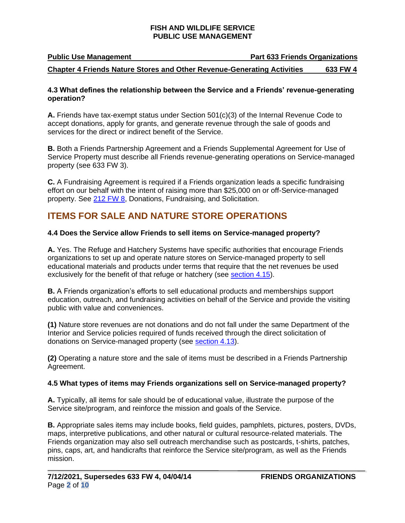**Public Use Management Part 633 Friends Organizations**

#### **Chapter 4 Friends Nature Stores and Other Revenue-Generating Activities 633 FW 4**

#### **4.3 What defines the relationship between the Service and a Friends' revenue-generating operation?**

**A.** Friends have tax-exempt status under Section 501(c)(3) of the Internal Revenue Code to accept donations, apply for grants, and generate revenue through the sale of goods and services for the direct or indirect benefit of the Service.

**B.** Both a Friends Partnership Agreement and a Friends Supplemental Agreement for Use of Service Property must describe all Friends revenue-generating operations on Service-managed property (see 633 FW 3).

**C.** A Fundraising Agreement is required if a Friends organization leads a specific fundraising effort on our behalf with the intent of raising more than \$25,000 on or off-Service-managed property. See [212 FW 8,](https://www.fws.gov/policy/212fw8.html) Donations, Fundraising, and Solicitation.

## <span id="page-1-0"></span>**ITEMS FOR SALE AND NATURE STORE OPERATIONS**

### **4.4 Does the Service allow Friends to sell items on Service-managed property?**

**A.** Yes. The Refuge and Hatchery Systems have specific authorities that encourage Friends organizations to set up and operate nature stores on Service-managed property to sell educational materials and products under terms that require that the net revenues be used exclusively for the benefit of that refuge or hatchery (see [section 4.15\)](#page-7-1).

**B.** A Friends organization's efforts to sell educational products and memberships support education, outreach, and fundraising activities on behalf of the Service and provide the visiting public with value and conveniences.

**(1)** Nature store revenues are not donations and do not fall under the same Department of the Interior and Service policies required of funds received through the direct solicitation of donations on Service-managed property (see [section 4.13\)](#page-5-0).

**(2)** Operating a nature store and the sale of items must be described in a Friends Partnership Agreement.

#### **4.5 What types of items may Friends organizations sell on Service-managed property?**

**A.** Typically, all items for sale should be of educational value, illustrate the purpose of the Service site/program, and reinforce the mission and goals of the Service.

**B.** Appropriate sales items may include books, field guides, pamphlets, pictures, posters, DVDs, maps, interpretive publications, and other natural or cultural resource-related materials. The Friends organization may also sell outreach merchandise such as postcards, t-shirts, patches, pins, caps, art, and handicrafts that reinforce the Service site/program, as well as the Friends mission.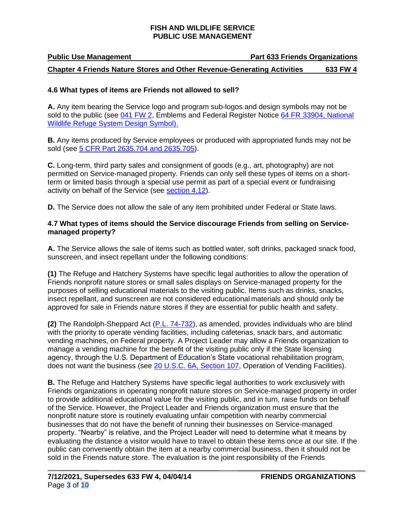### **Public Use Management Part 633 Friends Organizations Chapter 4 Friends Nature Stores and Other Revenue-Generating Activities 633 FW 4**

#### **4.6 What types of items are Friends not allowed to sell?**

**A.** Any item bearing the Service logo and program sub-logos and design symbols may not be sold to the public (see [041 FW 2,](https://www.fws.gov/policy/041fw2.html) Emblems and Federal Register Notice [64 FR 33904,](https://www.govinfo.gov/app/details/FR-1999-06-24/99-16127) National [Wildlife Refuge System Design Symbol\).](https://www.govinfo.gov/app/details/FR-1999-06-24/99-16127)

**B.** Any items produced by Service employees or produced with appropriated funds may not be sold (see [5 CFR Part 2635.704 and 2635.705\)](https://www.ecfr.gov/).

**C.** Long-term, third party sales and consignment of goods (e.g., art, photography) are not permitted on Service-managed property. Friends can only sell these types of items on a shortterm or limited basis through a special use permit as part of a special event or fundraising activity on behalf of the Service (see [section 4.12\)](#page-4-2).

**D.** The Service does not allow the sale of any item prohibited under Federal or State laws.

#### **4.7 What types of items should the Service discourage Friends from selling on Servicemanaged property?**

**A.** The Service allows the sale of items such as bottled water, soft drinks, packaged snack food, sunscreen, and insect repellant under the following conditions:

**(1)** The Refuge and Hatchery Systems have specific legal authorities to allow the operation of Friends nonprofit nature stores or small sales displays on Service-managed property for the purposes of selling educational materials to the visiting public. Items such as drinks, snacks, insect repellant, and sunscreen are not considered educational materials and should only be approved for sale in Friends nature stores if they are essential for public health and safety.

**(2)** The Randolph-Sheppard Act [\(P.L. 74-732\)](https://uscode.house.gov/view.xhtml?path=/prelim@title20/chapter6A&edition=prelim), as amended, provides individuals who are blind with the priority to operate vending facilities, including cafeterias, snack bars, and automatic vending machines, on Federal property. A Project Leader may allow a Friends organization to manage a vending machine for the benefit of the visiting public only if the State licensing agency, through the U.S. Department of Education's State vocational rehabilitation program, does not want the business (see [20 U.S.C. 6A, Section 107,](https://uscode.house.gov/view.xhtml?path=/prelim@title20/chapter6A&edition=prelim) Operation of Vending Facilities).

**B.** The Refuge and Hatchery Systems have specific legal authorities to work exclusively with Friends organizations in operating nonprofit nature stores on Service-managed property in order to provide additional educational value for the visiting public, and in turn, raise funds on behalf of the Service. However, the Project Leader and Friends organization must ensure that the nonprofit nature store is routinely evaluating unfair competition with nearby commercial businesses that do not have the benefit of running their businesses on Service-managed property. "Nearby" is relative, and the Project Leader will need to determine what it means by evaluating the distance a visitor would have to travel to obtain these items once at our site. If the public can conveniently obtain the item at a nearby commercial business, then it should not be sold in the Friends nature store. The evaluation is the joint responsibility of the Friends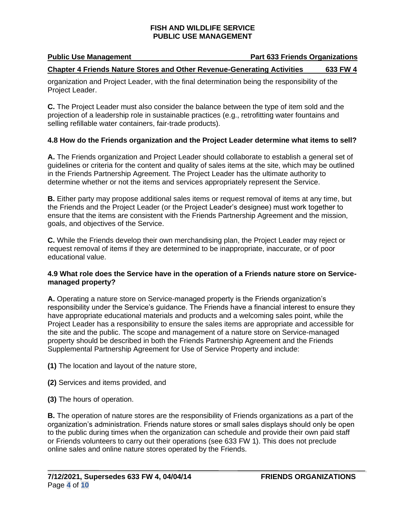## **Public Use Management Constraining Part 633 Friends Organizations**

### **Chapter 4 Friends Nature Stores and Other Revenue-Generating Activities 633 FW 4**

organization and Project Leader, with the final determination being the responsibility of the Project Leader.

**C.** The Project Leader must also consider the balance between the type of item sold and the projection of a leadership role in sustainable practices (e.g., retrofitting water fountains and selling refillable water containers, fair-trade products).

### **4.8 How do the Friends organization and the Project Leader determine what items to sell?**

**A.** The Friends organization and Project Leader should collaborate to establish a general set of guidelines or criteria for the content and quality of sales items at the site, which may be outlined in the Friends Partnership Agreement. The Project Leader has the ultimate authority to determine whether or not the items and services appropriately represent the Service.

**B.** Either party may propose additional sales items or request removal of items at any time, but the Friends and the Project Leader (or the Project Leader's designee) must work together to ensure that the items are consistent with the Friends Partnership Agreement and the mission, goals, and objectives of the Service.

**C.** While the Friends develop their own merchandising plan, the Project Leader may reject or request removal of items if they are determined to be inappropriate, inaccurate, or of poor educational value.

#### **4.9 What role does the Service have in the operation of a Friends nature store on Servicemanaged property?**

**A.** Operating a nature store on Service-managed property is the Friends organization's responsibility under the Service's guidance. The Friends have a financial interest to ensure they have appropriate educational materials and products and a welcoming sales point, while the Project Leader has a responsibility to ensure the sales items are appropriate and accessible for the site and the public. The scope and management of a nature store on Service-managed property should be described in both the Friends Partnership Agreement and the Friends Supplemental Partnership Agreement for Use of Service Property and include:

**(1)** The location and layout of the nature store,

**(2)** Services and items provided, and

**(3)** The hours of operation.

**B.** The operation of nature stores are the responsibility of Friends organizations as a part of the organization's administration. Friends nature stores or small sales displays should only be open to the public during times when the organization can schedule and provide their own paid staff or Friends volunteers to carry out their operations (see 633 FW 1). This does not preclude online sales and online nature stores operated by the Friends.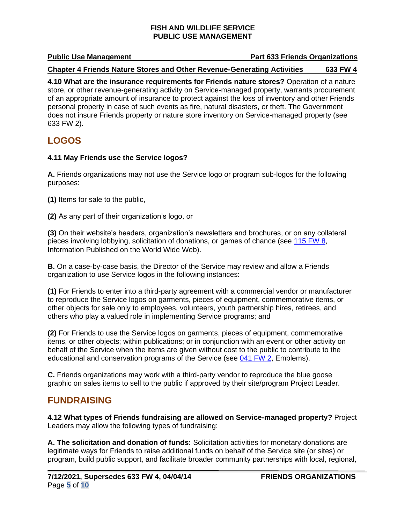#### **Public Use Management Comparent Part 633 Friends Organizations**

#### **Chapter 4 Friends Nature Stores and Other Revenue-Generating Activities 633 FW 4**

**4.10 What are the insurance requirements for Friends nature stores?** Operation of a nature store, or other revenue-generating activity on Service-managed property, warrants procurement of an appropriate amount of insurance to protect against the loss of inventory and other Friends personal property in case of such events as fire, natural disasters, or theft. The Government does not insure Friends property or nature store inventory on Service-managed property (see 633 FW 2).

## <span id="page-4-0"></span>**LOGOS**

#### **4.11 May Friends use the Service logos?**

**A.** Friends organizations may not use the Service logo or program sub-logos for the following purposes:

**(1)** Items for sale to the public,

**(2)** As any part of their organization's logo, or

**(3)** On their website's headers, organization's newsletters and brochures, or on any collateral pieces involving lobbying, solicitation of donations, or games of chance (see [115 FW 8,](https://www.fws.gov/policy/115fw8.html) Information Published on the World Wide Web).

**B.** On a case-by-case basis, the Director of the Service may review and allow a Friends organization to use Service logos in the following instances:

**(1)** For Friends to enter into a third-party agreement with a commercial vendor or manufacturer to reproduce the Service logos on garments, pieces of equipment, commemorative items, or other objects for sale only to employees, volunteers, youth partnership hires, retirees, and others who play a valued role in implementing Service programs; and

**(2)** For Friends to use the Service logos on garments, pieces of equipment, commemorative items, or other objects; within publications; or in conjunction with an event or other activity on behalf of the Service when the items are given without cost to the public to contribute to the educational and conservation programs of the Service (see [041 FW 2,](https://www.fws.gov/policy/041fw2.html) Emblems).

**C.** Friends organizations may work with a third-party vendor to reproduce the blue goose graphic on sales items to sell to the public if approved by their site/program Project Leader.

## <span id="page-4-1"></span>**FUNDRAISING**

<span id="page-4-2"></span>**4.12 What types of Friends fundraising are allowed on Service-managed property?** Project Leaders may allow the following types of fundraising:

**A. The solicitation and donation of funds:** Solicitation activities for monetary donations are legitimate ways for Friends to raise additional funds on behalf of the Service site (or sites) or program, build public support, and facilitate broader community partnerships with local, regional,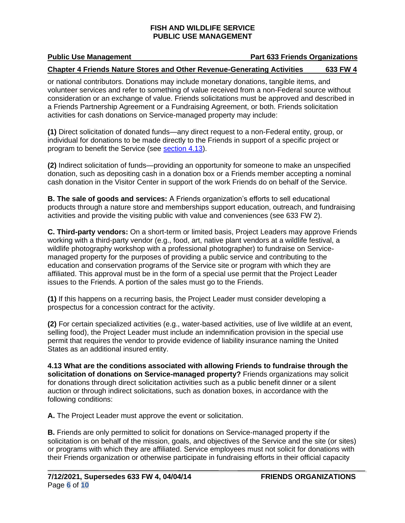#### **Public Use Management Constraining Part 633 Friends Organizations**

#### **Chapter 4 Friends Nature Stores and Other Revenue-Generating Activities 633 FW 4**

or national contributors. Donations may include monetary donations, tangible items, and volunteer services and refer to something of value received from a non-Federal source without consideration or an exchange of value. Friends solicitations must be approved and described in a Friends Partnership Agreement or a Fundraising Agreement, or both. Friends solicitation activities for cash donations on Service-managed property may include:

**(1)** Direct solicitation of donated funds—any direct request to a non-Federal entity, group, or individual for donations to be made directly to the Friends in support of a specific project or program to benefit the Service (see [section 4.13\)](#page-5-0).

**(2)** Indirect solicitation of funds—providing an opportunity for someone to make an unspecified donation, such as depositing cash in a donation box or a Friends member accepting a nominal cash donation in the Visitor Center in support of the work Friends do on behalf of the Service.

**B. The sale of goods and services:** A Friends organization's efforts to sell educational products through a nature store and memberships support education, outreach, and fundraising activities and provide the visiting public with value and conveniences (see 633 FW 2).

**C. Third-party vendors:** On a short-term or limited basis, Project Leaders may approve Friends working with a third-party vendor (e.g., food, art, native plant vendors at a wildlife festival, a wildlife photography workshop with a professional photographer) to fundraise on Servicemanaged property for the purposes of providing a public service and contributing to the education and conservation programs of the Service site or program with which they are affiliated. This approval must be in the form of a special use permit that the Project Leader issues to the Friends. A portion of the sales must go to the Friends.

**(1)** If this happens on a recurring basis, the Project Leader must consider developing a prospectus for a concession contract for the activity.

**(2)** For certain specialized activities (e.g., water-based activities, use of live wildlife at an event, selling food), the Project Leader must include an indemnification provision in the special use permit that requires the vendor to provide evidence of liability insurance naming the United States as an additional insured entity.

<span id="page-5-0"></span>**4.13 What are the conditions associated with allowing Friends to fundraise through the solicitation of donations on Service-managed property?** Friends organizations may solicit for donations through direct solicitation activities such as a public benefit dinner or a silent auction or through indirect solicitations, such as donation boxes, in accordance with the following conditions:

**A.** The Project Leader must approve the event or solicitation.

**B.** Friends are only permitted to solicit for donations on Service-managed property if the solicitation is on behalf of the mission, goals, and objectives of the Service and the site (or sites) or programs with which they are affiliated. Service employees must not solicit for donations with their Friends organization or otherwise participate in fundraising efforts in their official capacity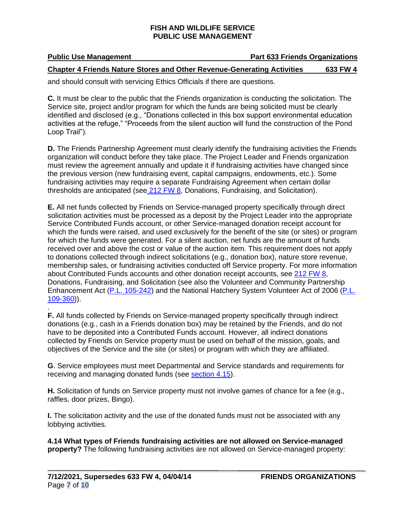## **Public Use Management Constraining Part 633 Friends Organizations**

#### **Chapter 4 Friends Nature Stores and Other Revenue-Generating Activities 633 FW 4**

and should consult with servicing Ethics Officials if there are questions.

**C.** It must be clear to the public that the Friends organization is conducting the solicitation. The Service site, project and/or program for which the funds are being solicited must be clearly identified and disclosed (e.g., "Donations collected in this box support environmental education activities at the refuge," "Proceeds from the silent auction will fund the construction of the Pond Loop Trail").

**D.** The Friends Partnership Agreement must clearly identify the fundraising activities the Friends organization will conduct before they take place. The Project Leader and Friends organization must review the agreement annually and update it if fundraising activities have changed since the previous version (new fundraising event, capital campaigns, endowments, etc.). Some fundraising activities may require a separate Fundraising Agreement when certain dollar thresholds are anticipated (see [212 FW 8,](https://www.fws.gov/policy/212fw8.html) Donations, Fundraising, and Solicitation).

**E.** All net funds collected by Friends on Service-managed property specifically through direct solicitation activities must be processed as a deposit by the Project Leader into the appropriate Service Contributed Funds account, or other Service-managed donation receipt account for which the funds were raised, and used exclusively for the benefit of the site (or sites) or program for which the funds were generated. For a silent auction, net funds are the amount of funds received over and above the cost or value of the auction item. This requirement does not apply to donations collected through indirect solicitations (e.g., donation box), nature store revenue, membership sales, or fundraising activities conducted off Service property. For more information about Contributed Funds accounts and other donation receipt accounts, see [212 FW 8,](https://www.fws.gov/policy/212fw8.html) Donations, Fundraising, and Solicitation (see also the Volunteer and Community Partnership Enhancement Act (P.L. [105-242\)](https://www.govinfo.gov/content/pkg/PLAW-105publ242/html/PLAW-105publ242.htm) and the National Hatchery System Volunteer Act of 2006 [\(P.L.](https://www.govinfo.gov/content/pkg/PLAW-109publ360/html/PLAW-109publ360.htm) [109-360\)](https://www.govinfo.gov/content/pkg/PLAW-109publ360/html/PLAW-109publ360.htm)).

. **F.** All funds collected by Friends on Service-managed property specifically through indirect donations (e.g., cash in a Friends donation box) may be retained by the Friends, and do not have to be deposited into a Contributed Funds account. However, all indirect donations collected by Friends on Service property must be used on behalf of the mission, goals, and objectives of the Service and the site (or sites) or program with which they are affiliated.

**G**. Service employees must meet Departmental and Service standards and requirements for receiving and managing donated funds (see [section 4.15\)](#page-7-1).

**H.** Solicitation of funds on Service property must not involve games of chance for a fee (e.g., raffles, door prizes, Bingo).

**I.** The solicitation activity and the use of the donated funds must not be associated with any lobbying activities.

**4.14 What types of Friends fundraising activities are not allowed on Service-managed property?** The following fundraising activities are not allowed on Service-managed property: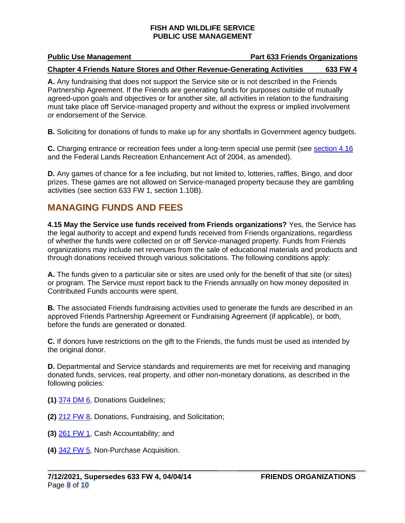#### **Public Use Management Constraining Part 633 Friends Organizations**

#### **Chapter 4 Friends Nature Stores and Other Revenue-Generating Activities 633 FW 4**

**A.** Any fundraising that does not support the Service site or is not described in the Friends Partnership Agreement. If the Friends are generating funds for purposes outside of mutually agreed-upon goals and objectives or for another site, all activities in relation to the fundraising must take place off Service-managed property and without the express or implied involvement or endorsement of the Service.

**B.** Soliciting for donations of funds to make up for any shortfalls in Government agency budgets.

**C.** Charging entrance or recreation fees under a long-term special use permit (see [section 4.16](#page-8-0) and the Federal Lands Recreation Enhancement Act of 2004, as amended).

**D.** Any games of chance for a fee including, but not limited to, lotteries, raffles, Bingo, and door prizes. These games are not allowed on Service-managed property because they are gambling activities (see section 633 FW 1, section 1.10B).

## <span id="page-7-0"></span>**MANAGING FUNDS AND FEES**

<span id="page-7-1"></span>**4.15 May the Service use funds received from Friends organizations?** Yes, the Service has the legal authority to accept and expend funds received from Friends organizations, regardless of whether the funds were collected on or off Service-managed property. Funds from Friends organizations may include net revenues from the sale of educational materials and products and through donations received through various solicitations. The following conditions apply:

**A.** The funds given to a particular site or sites are used only for the benefit of that site (or sites) or program. The Service must report back to the Friends annually on how money deposited in Contributed Funds accounts were spent.

**B.** The associated Friends fundraising activities used to generate the funds are described in an approved Friends Partnership Agreement or Fundraising Agreement (if applicable), or both, before the funds are generated or donated.

**C.** If donors have restrictions on the gift to the Friends, the funds must be used as intended by the original donor.

**D.** Departmental and Service standards and requirements are met for receiving and managing donated funds, services, real property, and other non-monetary donations, as described in the following policies:

- **(1)** [374 DM 6,](https://www.doi.gov/elips/browse) Donations Guidelines;
- **(2)** [212 FW 8,](https://www.fws.gov/policy/212fw8.html) Donations, Fundraising, and Solicitation;
- **(3)** [261 FW 1,](https://www.fws.gov/policy/261fw1.html) Cash Accountability; and
- **(4)** [342 FW 5,](https://www.fws.gov/policy/342fw5.html) Non-Purchase Acquisition.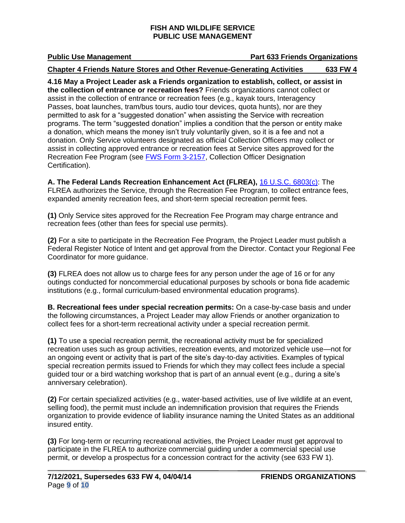#### **Public Use Management Comparent Part 633 Friends Organizations**

#### **Chapter 4 Friends Nature Stores and Other Revenue-Generating Activities 633 FW 4**

<span id="page-8-0"></span>**4.16 May a Project Leader ask a Friends organization to establish, collect, or assist in the collection of entrance or recreation fees?** Friends organizations cannot collect or assist in the collection of entrance or recreation fees (e.g., kayak tours, Interagency Passes, boat launches, tram/bus tours, audio tour devices, quota hunts), nor are they permitted to ask for a "suggested donation" when assisting the Service with recreation programs. The term "suggested donation" implies a condition that the person or entity make a donation, which means the money isn't truly voluntarily given, so it is a fee and not a donation. Only Service volunteers designated as official Collection Officers may collect or assist in collecting approved entrance or recreation fees at Service sites approved for the Recreation Fee Program (see [FWS Form 3-2157,](https://doimspp.sharepoint.com/sites/fws-forms) Collection Officer Designation Certification).

**A. The Federal Lands Recreation Enhancement Act (FLREA),** [16 U.S.C. 6803\(c\):](https://uscode.house.gov/search/criteria.shtml) The FLREA authorizes the Service, through the Recreation Fee Program, to collect entrance fees, expanded amenity recreation fees, and short-term special recreation permit fees.

**(1)** Only Service sites approved for the Recreation Fee Program may charge entrance and recreation fees (other than fees for special use permits).

**(2)** For a site to participate in the Recreation Fee Program, the Project Leader must publish a Federal Register Notice of Intent and get approval from the Director. Contact your Regional Fee Coordinator for more guidance.

**(3)** FLREA does not allow us to charge fees for any person under the age of 16 or for any outings conducted for noncommercial educational purposes by schools or bona fide academic institutions (e.g., formal curriculum-based environmental education programs).

**B. Recreational fees under special recreation permits:** On a case-by-case basis and under the following circumstances, a Project Leader may allow Friends or another organization to collect fees for a short-term recreational activity under a special recreation permit.

**(1)** To use a special recreation permit, the recreational activity must be for specialized recreation uses such as group activities, recreation events, and motorized vehicle use—not for an ongoing event or activity that is part of the site's day-to-day activities. Examples of typical special recreation permits issued to Friends for which they may collect fees include a special guided tour or a bird watching workshop that is part of an annual event (e.g., during a site's anniversary celebration).

**(2)** For certain specialized activities (e.g., water-based activities, use of live wildlife at an event, selling food), the permit must include an indemnification provision that requires the Friends organization to provide evidence of liability insurance naming the United States as an additional insured entity.

**(3)** For long-term or recurring recreational activities, the Project Leader must get approval to participate in the FLREA to authorize commercial guiding under a commercial special use permit, or develop a prospectus for a concession contract for the activity (see 633 FW 1).